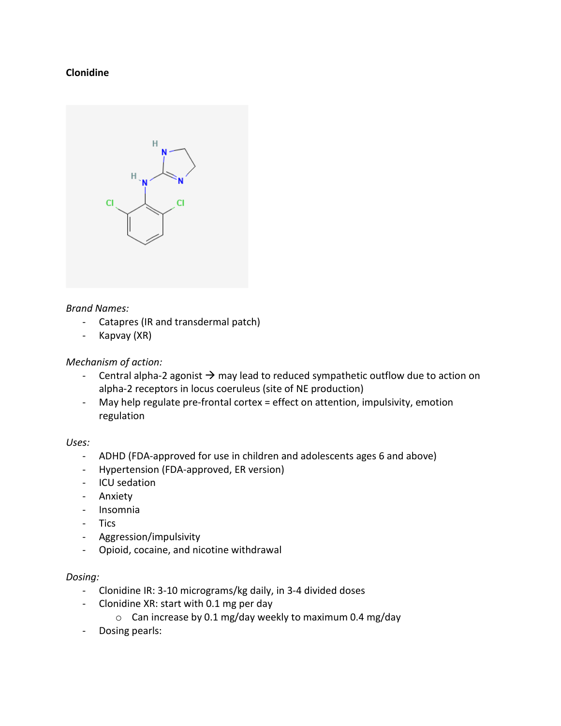## **Clonidine**



#### *Brand Names:*

- Catapres (IR and transdermal patch)
- Kapvay (XR)

### *Mechanism of action:*

- Central alpha-2 agonist  $\rightarrow$  may lead to reduced sympathetic outflow due to action on alpha-2 receptors in locus coeruleus (site of NE production)
- May help regulate pre-frontal cortex = effect on attention, impulsivity, emotion regulation

#### *Uses:*

- ADHD (FDA-approved for use in children and adolescents ages 6 and above)
- Hypertension (FDA-approved, ER version)
- ICU sedation
- Anxiety
- Insomnia
- Tics
- Aggression/impulsivity
- Opioid, cocaine, and nicotine withdrawal

### *Dosing:*

- Clonidine IR: 3-10 micrograms/kg daily, in 3-4 divided doses
- Clonidine XR: start with 0.1 mg per day
	- o Can increase by 0.1 mg/day weekly to maximum 0.4 mg/day
- Dosing pearls: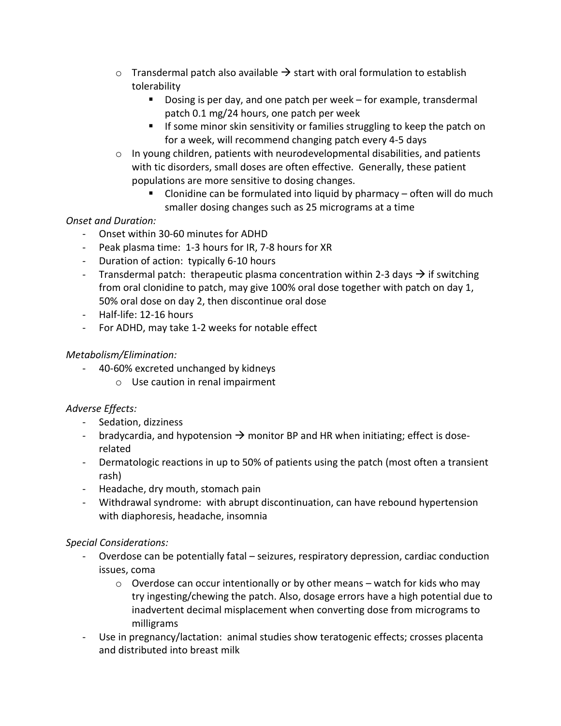- $\circ$  Transdermal patch also available  $\rightarrow$  start with oral formulation to establish tolerability
	- Dosing is per day, and one patch per week for example, transdermal patch 0.1 mg/24 hours, one patch per week
	- If some minor skin sensitivity or families struggling to keep the patch on for a week, will recommend changing patch every 4-5 days
- o In young children, patients with neurodevelopmental disabilities, and patients with tic disorders, small doses are often effective. Generally, these patient populations are more sensitive to dosing changes.
	- Clonidine can be formulated into liquid by pharmacy  $-$  often will do much smaller dosing changes such as 25 micrograms at a time

# *Onset and Duration:*

- Onset within 30-60 minutes for ADHD
- Peak plasma time: 1-3 hours for IR, 7-8 hours for XR
- Duration of action: typically 6-10 hours
- Transdermal patch: therapeutic plasma concentration within 2-3 days  $\rightarrow$  if switching from oral clonidine to patch, may give 100% oral dose together with patch on day 1, 50% oral dose on day 2, then discontinue oral dose
- Half-life: 12-16 hours
- For ADHD, may take 1-2 weeks for notable effect

## *Metabolism/Elimination:*

- 40-60% excreted unchanged by kidneys
	- o Use caution in renal impairment

# *Adverse Effects:*

- Sedation, dizziness
- bradycardia, and hypotension  $\rightarrow$  monitor BP and HR when initiating; effect is doserelated
- Dermatologic reactions in up to 50% of patients using the patch (most often a transient rash)
- Headache, dry mouth, stomach pain
- Withdrawal syndrome: with abrupt discontinuation, can have rebound hypertension with diaphoresis, headache, insomnia

## *Special Considerations:*

- Overdose can be potentially fatal seizures, respiratory depression, cardiac conduction issues, coma
	- $\circ$  Overdose can occur intentionally or by other means watch for kids who may try ingesting/chewing the patch. Also, dosage errors have a high potential due to inadvertent decimal misplacement when converting dose from micrograms to milligrams
- Use in pregnancy/lactation: animal studies show teratogenic effects; crosses placenta and distributed into breast milk